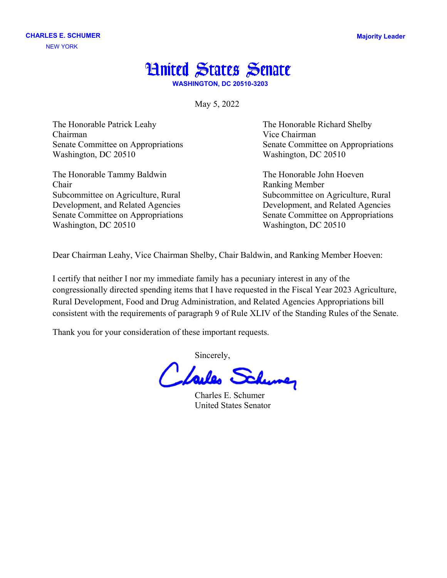## **Hnited States Senate**

**WASHINGTON, DC 20510-3203**

May 5, 2022

The Honorable Patrick Leahy The Honorable Richard Shelby Chairman Vice Chairman Senate Committee on Appropriations Senate Committee on Appropriations Washington, DC 20510 Washington, DC 20510

The Honorable Tammy Baldwin The Honorable John Hoeven Chair Ranking Member Subcommittee on Agriculture, Rural Subcommittee on Agriculture, Rural Development, and Related Agencies Development, and Related Agencies Washington, DC 20510 Washington, DC 20510

Senate Committee on Appropriations Senate Committee on Appropriations

Dear Chairman Leahy, Vice Chairman Shelby, Chair Baldwin, and Ranking Member Hoeven:

I certify that neither I nor my immediate family has a pecuniary interest in any of the congressionally directed spending items that I have requested in the Fiscal Year 2023 Agriculture, Rural Development, Food and Drug Administration, and Related Agencies Appropriations bill consistent with the requirements of paragraph 9 of Rule XLIV of the Standing Rules of the Senate.

Thank you for your consideration of these important requests.

Sincerely,

Charles E. Schumer United States Senator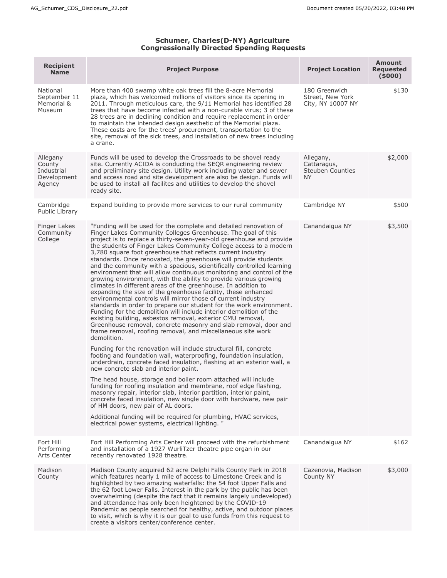## **Schumer, Charles(D-NY) Agriculture Congressionally Directed Spending Requests**

| <b>Recipient</b><br><b>Name</b>                           | <b>Project Purpose</b>                                                                                                                                                                                                                                                                                                                                                                                                                                                                                                                                                                                                                                                                                                                                                                                                                                                                                                                                                                                                                                                                                                                                                                                                                                                                                                                                                                                                                                                                                                                                                                                                                                                                                                                                                                                                                                                                                           | <b>Project Location</b>                                          | <b>Amount</b><br><b>Requested</b><br>(5000) |
|-----------------------------------------------------------|------------------------------------------------------------------------------------------------------------------------------------------------------------------------------------------------------------------------------------------------------------------------------------------------------------------------------------------------------------------------------------------------------------------------------------------------------------------------------------------------------------------------------------------------------------------------------------------------------------------------------------------------------------------------------------------------------------------------------------------------------------------------------------------------------------------------------------------------------------------------------------------------------------------------------------------------------------------------------------------------------------------------------------------------------------------------------------------------------------------------------------------------------------------------------------------------------------------------------------------------------------------------------------------------------------------------------------------------------------------------------------------------------------------------------------------------------------------------------------------------------------------------------------------------------------------------------------------------------------------------------------------------------------------------------------------------------------------------------------------------------------------------------------------------------------------------------------------------------------------------------------------------------------------|------------------------------------------------------------------|---------------------------------------------|
| National<br>September 11<br>Memorial &<br>Museum          | More than 400 swamp white oak trees fill the 8-acre Memorial<br>plaza, which has welcomed millions of visitors since its opening in<br>2011. Through meticulous care, the 9/11 Memorial has identified 28<br>trees that have become infected with a non-curable virus; 3 of these<br>28 trees are in declining condition and require replacement in order<br>to maintain the intended design aesthetic of the Memorial plaza.<br>These costs are for the trees' procurement, transportation to the<br>site, removal of the sick trees, and installation of new trees including<br>a crane.                                                                                                                                                                                                                                                                                                                                                                                                                                                                                                                                                                                                                                                                                                                                                                                                                                                                                                                                                                                                                                                                                                                                                                                                                                                                                                                       | 180 Greenwich<br>Street, New York<br>City, NY 10007 NY           | \$130                                       |
| Allegany<br>County<br>Industrial<br>Development<br>Agency | Funds will be used to develop the Crossroads to be shovel ready<br>site. Currently ACIDA is conducting the SEQR engineering review<br>and preliminary site design. Utility work including water and sewer<br>and access road and site development are also be design. Funds will<br>be used to install all facilites and utilities to develop the shovel<br>ready site.                                                                                                                                                                                                                                                                                                                                                                                                                                                                                                                                                                                                                                                                                                                                                                                                                                                                                                                                                                                                                                                                                                                                                                                                                                                                                                                                                                                                                                                                                                                                          | Allegany,<br>Cattaragus,<br><b>Steuben Counties</b><br><b>NY</b> | \$2,000                                     |
| Cambridge<br>Public Library                               | Expand building to provide more services to our rural community                                                                                                                                                                                                                                                                                                                                                                                                                                                                                                                                                                                                                                                                                                                                                                                                                                                                                                                                                                                                                                                                                                                                                                                                                                                                                                                                                                                                                                                                                                                                                                                                                                                                                                                                                                                                                                                  | Cambridge NY                                                     | \$500                                       |
| Finger Lakes<br>Community<br>College                      | "Funding will be used for the complete and detailed renovation of<br>Finger Lakes Community Colleges Greenhouse. The goal of this<br>project is to replace a thirty-seven-year-old greenhouse and provide<br>the students of Finger Lakes Community College access to a modern<br>3,780 square foot greenhouse that reflects current industry<br>standards. Once renovated, the greenhouse will provide students<br>and the community with a spacious, scientifically controlled learning<br>environment that will allow continuous monitoring and control of the<br>growing environment, with the ability to provide various growing<br>climates in different areas of the greenhouse. In addition to<br>expanding the size of the greenhouse facility, these enhanced<br>environmental controls will mirror those of current industry<br>standards in order to prepare our student for the work environment.<br>Funding for the demolition will include interior demolition of the<br>existing building, asbestos removal, exterior CMU removal,<br>Greenhouse removal, concrete masonry and slab removal, door and<br>frame removal, roofing removal, and miscellaneous site work<br>demolition.<br>Funding for the renovation will include structural fill, concrete<br>footing and foundation wall, waterproofing, foundation insulation,<br>underdrain, concrete faced insulation, flashing at an exterior wall, a<br>new concrete slab and interior paint.<br>The head house, storage and boiler room attached will include<br>funding for roofing insulation and membrane, roof edge flashing,<br>masonry repair, interior slab, interior partition, interior paint,<br>concrete faced insulation, new single door with hardware, new pair<br>of HM doors, new pair of AL doors.<br>Additional funding will be required for plumbing, HVAC services,<br>electrical power systems, electrical lighting. " | Canandaigua NY                                                   | \$3,500                                     |
| Fort Hill<br>Performing<br><b>Arts Center</b>             | Fort Hill Performing Arts Center will proceed with the refurbishment<br>and installation of a 1927 WurliTzer theatre pipe organ in our<br>recently renovated 1928 theatre.                                                                                                                                                                                                                                                                                                                                                                                                                                                                                                                                                                                                                                                                                                                                                                                                                                                                                                                                                                                                                                                                                                                                                                                                                                                                                                                                                                                                                                                                                                                                                                                                                                                                                                                                       | Canandaigua NY                                                   | \$162                                       |
| Madison<br>County                                         | Madison County acquired 62 acre Delphi Falls County Park in 2018<br>which features nearly 1 mile of access to Limestone Creek and is<br>highlighted by two amazing waterfalls: the 54 foot Upper Falls and<br>the 62 foot Lower Falls. Interest in the park by the public has been<br>overwhelming (despite the fact that it remains largely undeveloped)<br>and attendance has only been heightened by the COVID-19<br>Pandemic as people searched for healthy, active, and outdoor places<br>to visit, which is why it is our goal to use funds from this request to<br>create a visitors center/conference center.                                                                                                                                                                                                                                                                                                                                                                                                                                                                                                                                                                                                                                                                                                                                                                                                                                                                                                                                                                                                                                                                                                                                                                                                                                                                                            | Cazenovia, Madison<br>County NY                                  | \$3,000                                     |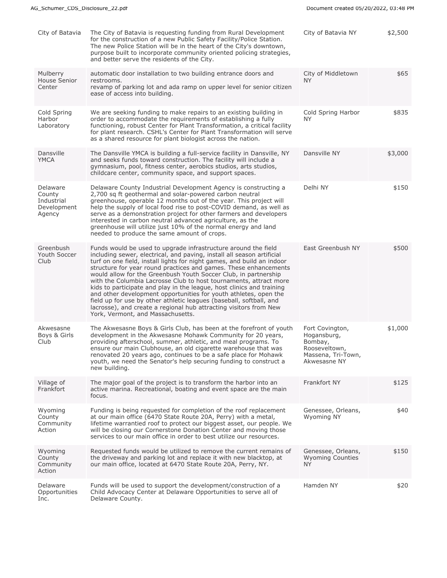| City of Batavia                                           | The City of Batavia is requesting funding from Rural Development<br>for the construction of a new Public Safety Facility/Police Station.<br>The new Police Station will be in the heart of the City's downtown,<br>purpose built to incorporate community oriented policing strategies,<br>and better serve the residents of the City.                                                                                                                                                                                                                                                                                                                                                                                                                       | City of Batavia NY                                                                               | \$2,500 |
|-----------------------------------------------------------|--------------------------------------------------------------------------------------------------------------------------------------------------------------------------------------------------------------------------------------------------------------------------------------------------------------------------------------------------------------------------------------------------------------------------------------------------------------------------------------------------------------------------------------------------------------------------------------------------------------------------------------------------------------------------------------------------------------------------------------------------------------|--------------------------------------------------------------------------------------------------|---------|
| Mulberry<br>House Senior<br>Center                        | automatic door installation to two building entrance doors and<br>restrooms.<br>revamp of parking lot and ada ramp on upper level for senior citizen<br>ease of access into building.                                                                                                                                                                                                                                                                                                                                                                                                                                                                                                                                                                        | City of Middletown<br>NY.                                                                        | \$65    |
| Cold Spring<br>Harbor<br>Laboratory                       | We are seeking funding to make repairs to an existing building in<br>order to accommodate the requirements of establishing a fully<br>functioning, robust Center for Plant Transformation, a critical facility<br>for plant research. CSHL's Center for Plant Transformation will serve<br>as a shared resource for plant biologist across the nation.                                                                                                                                                                                                                                                                                                                                                                                                       | Cold Spring Harbor<br>NY.                                                                        | \$835   |
| Dansville<br><b>YMCA</b>                                  | The Dansville YMCA is building a full-service facility in Dansville, NY<br>and seeks funds toward construction. The facility will include a<br>gymnasium, pool, fitness center, aerobics studios, arts studios,<br>childcare center, community space, and support spaces.                                                                                                                                                                                                                                                                                                                                                                                                                                                                                    | Dansville NY                                                                                     | \$3,000 |
| Delaware<br>County<br>Industrial<br>Development<br>Agency | Delaware County Industrial Development Agency is constructing a<br>2,700 sq ft geothermal and solar-powered carbon neutral<br>greenhouse, operable 12 months out of the year. This project will<br>help the supply of local food rise to post-COVID demand, as well as<br>serve as a demonstration project for other farmers and developers<br>interested in carbon neutral advanced agriculture, as the<br>greenhouse will utilize just 10% of the normal energy and land<br>needed to produce the same amount of crops.                                                                                                                                                                                                                                    | Delhi NY                                                                                         | \$150   |
| Greenbush<br>Youth Soccer<br>Club                         | Funds would be used to upgrade infrastructure around the field<br>including sewer, electrical, and paving, install all season artificial<br>turf on one field, install lights for night games, and build an indoor<br>structure for year round practices and games. These enhancements<br>would allow for the Greenbush Youth Soccer Club, in partnership<br>with the Columbia Lacrosse Club to host tournaments, attract more<br>kids to participate and play in the league, host clinics and training<br>and other development opportunities for youth athletes, open the<br>field up for use by other athletic leagues (baseball, softball, and<br>lacrosse), and create a regional hub attracting visitors from New<br>York, Vermont, and Massachusetts. | East Greenbush NY                                                                                | \$500   |
| Akwesasne<br>Boys & Girls<br>Club                         | The Akwesasne Boys & Girls Club, has been at the forefront of youth<br>development in the Akwesasne Mohawk Community for 20 years,<br>providing afterschool, summer, athletic, and meal programs. To<br>ensure our main Clubhouse, an old cigarette warehouse that was<br>renovated 20 years ago, continues to be a safe place for Mohawk<br>youth, we need the Senator's help securing funding to construct a<br>new building.                                                                                                                                                                                                                                                                                                                              | Fort Covington,<br>Hogansburg,<br>Bombay,<br>Rooseveltown,<br>Massena, Tri-Town,<br>Akwesasne NY | \$1,000 |
| Village of<br>Frankfort                                   | The major goal of the project is to transform the harbor into an<br>active marina. Recreational, boating and event space are the main<br>focus.                                                                                                                                                                                                                                                                                                                                                                                                                                                                                                                                                                                                              | Frankfort NY                                                                                     | \$125   |
| Wyoming<br>County<br>Community<br>Action                  | Funding is being requested for completion of the roof replacement<br>at our main office (6470 State Route 20A, Perry) with a metal,<br>lifetime warrantied roof to protect our biggest asset, our people. We<br>will be closing our Cornerstone Donation Center and moving those<br>services to our main office in order to best utilize our resources.                                                                                                                                                                                                                                                                                                                                                                                                      | Genessee, Orleans,<br>Wyoming NY                                                                 | \$40    |
| Wyoming<br>County<br>Community<br>Action                  | Requested funds would be utilized to remove the current remains of<br>the driveway and parking lot and replace it with new blacktop, at<br>our main office, located at 6470 State Route 20A, Perry, NY.                                                                                                                                                                                                                                                                                                                                                                                                                                                                                                                                                      | Genessee, Orleans,<br><b>Wyoming Counties</b><br><b>NY</b>                                       | \$150   |
| Delaware<br>Opportunities<br>Inc.                         | Funds will be used to support the development/construction of a<br>Child Advocacy Center at Delaware Opportunities to serve all of<br>Delaware County.                                                                                                                                                                                                                                                                                                                                                                                                                                                                                                                                                                                                       | Hamden NY                                                                                        | \$20    |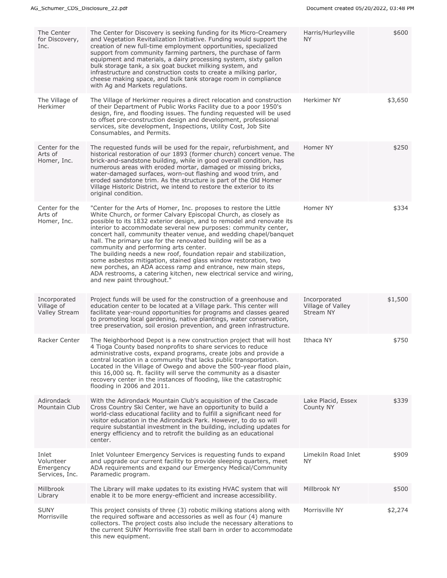| The Center<br>for Discovery,<br>Inc.              | The Center for Discovery is seeking funding for its Micro-Creamery<br>and Vegetation Revitalization Initiative. Funding would support the<br>creation of new full-time employment opportunities, specialized<br>support from community farming partners, the purchase of farm<br>equipment and materials, a dairy processing system, sixty gallon<br>bulk storage tank, a six goat bucket milking system, and<br>infrastructure and construction costs to create a milking parlor,<br>cheese making space, and bulk tank storage room in compliance<br>with Ag and Markets regulations.                                                                                                                                                                                            | Harris/Hurleyville<br>NY.                      | \$600   |
|---------------------------------------------------|------------------------------------------------------------------------------------------------------------------------------------------------------------------------------------------------------------------------------------------------------------------------------------------------------------------------------------------------------------------------------------------------------------------------------------------------------------------------------------------------------------------------------------------------------------------------------------------------------------------------------------------------------------------------------------------------------------------------------------------------------------------------------------|------------------------------------------------|---------|
| The Village of<br>Herkimer                        | The Village of Herkimer requires a direct relocation and construction<br>of their Department of Public Works Facility due to a poor 1950's<br>design, fire, and flooding issues. The funding requested will be used<br>to offset pre-construction design and development, professional<br>services, site development, Inspections, Utility Cost, Job Site<br>Consumables, and Permits.                                                                                                                                                                                                                                                                                                                                                                                             | Herkimer NY                                    | \$3,650 |
| Center for the<br>Arts of<br>Homer, Inc.          | The requested funds will be used for the repair, refurbishment, and<br>historical restoration of our 1893 (former church) concert venue. The<br>brick-and-sandstone building, while in good overall condition, has<br>numerous areas with eroded mortar, damaged or missing bricks,<br>water-damaged surfaces, worn-out flashing and wood trim, and<br>eroded sandstone trim. As the structure is part of the Old Homer<br>Village Historic District, we intend to restore the exterior to its<br>original condition.                                                                                                                                                                                                                                                              | Homer NY                                       | \$250   |
| Center for the<br>Arts of<br>Homer, Inc.          | "Center for the Arts of Homer, Inc. proposes to restore the Little<br>White Church, or former Calvary Episcopal Church, as closely as<br>possible to its 1832 exterior design, and to remodel and renovate its<br>interior to accommodate several new purposes: community center,<br>concert hall, community theater venue, and wedding chapel/banquet<br>hall. The primary use for the renovated building will be as a<br>community and performing arts center.<br>The building needs a new roof, foundation repair and stabilization,<br>some asbestos mitigation, stained glass window restoration, two<br>new porches, an ADA access ramp and entrance, new main steps,<br>ADA restrooms, a catering kitchen, new electrical service and wiring,<br>and new paint throughout." | Homer NY                                       | \$334   |
| Incorporated<br>Village of<br>Valley Stream       | Project funds will be used for the construction of a greenhouse and<br>education center to be located at a Village park. This center will<br>facilitate year-round opportunities for programs and classes geared<br>to promoting local gardening, native plantings, water conservation,<br>tree preservation, soil erosion prevention, and green infrastructure.                                                                                                                                                                                                                                                                                                                                                                                                                   | Incorporated<br>Village of Valley<br>Stream NY | \$1,500 |
| Racker Center                                     | The Neighborhood Depot is a new construction project that will host<br>4 Tioga County based nonprofits to share services to reduce<br>administrative costs, expand programs, create jobs and provide a<br>central location in a community that lacks public transportation.<br>Located in the Village of Owego and above the 500-year flood plain,<br>this 16,000 sq. ft. facility will serve the community as a disaster<br>recovery center in the instances of flooding, like the catastrophic<br>flooding in 2006 and 2011.                                                                                                                                                                                                                                                     | Ithaca NY                                      | \$750   |
| Adirondack<br>Mountain Club                       | With the Adirondack Mountain Club's acquisition of the Cascade<br>Cross Country Ski Center, we have an opportunity to build a<br>world-class educational facility and to fulfill a significant need for<br>visitor education in the Adirondack Park. However, to do so will<br>require substantial investment in the building, including updates for<br>energy efficiency and to retrofit the building as an educational<br>center.                                                                                                                                                                                                                                                                                                                                                | Lake Placid, Essex<br>County NY                | \$339   |
| Inlet<br>Volunteer<br>Emergency<br>Services, Inc. | Inlet Volunteer Emergency Services is requesting funds to expand<br>and upgrade our current facility to provide sleeping quarters, meet<br>ADA requirements and expand our Emergency Medical/Community<br>Paramedic program.                                                                                                                                                                                                                                                                                                                                                                                                                                                                                                                                                       | Limekiln Road Inlet<br><b>NY</b>               | \$909   |
| Millbrook<br>Library                              | The Library will make updates to its existing HVAC system that will<br>enable it to be more energy-efficient and increase accessibility.                                                                                                                                                                                                                                                                                                                                                                                                                                                                                                                                                                                                                                           | Millbrook NY                                   | \$500   |
| <b>SUNY</b><br>Morrisville                        | This project consists of three (3) robotic milking stations along with<br>the required software and accessories as well as four (4) manure<br>collectors. The project costs also include the necessary alterations to<br>the current SUNY Morrisville free stall barn in order to accommodate<br>this new equipment.                                                                                                                                                                                                                                                                                                                                                                                                                                                               | Morrisville NY                                 | \$2,274 |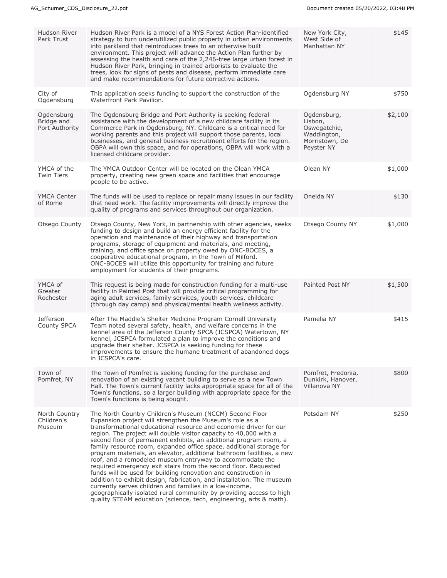| Hudson River<br>Park Trust                 | Hudson River Park is a model of a NYS Forest Action Plan-identified<br>strategy to turn underutilized public property in urban environments<br>into parkland that reintroduces trees to an otherwise built<br>environment. This project will advance the Action Plan further by<br>assessing the health and care of the 2,246-tree large urban forest in<br>Hudson River Park, bringing in trained arborists to evaluate the<br>trees, look for signs of pests and disease, perform immediate care<br>and make recommendations for future corrective actions.                                                                                                                                                                                                                                                                                                                                                                                                        | New York City,<br>West Side of<br>Manhattan NY                                        | \$145   |
|--------------------------------------------|----------------------------------------------------------------------------------------------------------------------------------------------------------------------------------------------------------------------------------------------------------------------------------------------------------------------------------------------------------------------------------------------------------------------------------------------------------------------------------------------------------------------------------------------------------------------------------------------------------------------------------------------------------------------------------------------------------------------------------------------------------------------------------------------------------------------------------------------------------------------------------------------------------------------------------------------------------------------|---------------------------------------------------------------------------------------|---------|
| City of<br>Ogdensburg                      | This application seeks funding to support the construction of the<br>Waterfront Park Pavilion.                                                                                                                                                                                                                                                                                                                                                                                                                                                                                                                                                                                                                                                                                                                                                                                                                                                                       | Ogdensburg NY                                                                         | \$750   |
| Ogdensburg<br>Bridge and<br>Port Authority | The Ogdensburg Bridge and Port Authority is seeking federal<br>assistance with the development of a new childcare facility in its<br>Commerce Park in Ogdensburg, NY. Childcare is a critical need for<br>working parents and this project will support those parents, local<br>businesses, and general business recruitment efforts for the region.<br>OBPA will own this space, and for operations, OBPA will work with a<br>licensed childcare provider.                                                                                                                                                                                                                                                                                                                                                                                                                                                                                                          | Ogdensburg,<br>Lisbon,<br>Oswegatchie,<br>Waddington,<br>Morristown, De<br>Peyster NY | \$2,100 |
| YMCA of the<br><b>Twin Tiers</b>           | The YMCA Outdoor Center will be located on the Olean YMCA<br>property, creating new green space and facilities that encourage<br>people to be active.                                                                                                                                                                                                                                                                                                                                                                                                                                                                                                                                                                                                                                                                                                                                                                                                                | Olean NY                                                                              | \$1,000 |
| <b>YMCA Center</b><br>of Rome              | The funds will be used to replace or repair many issues in our facility<br>that need work. The facility improvements will directly improve the<br>quality of programs and services throughout our organization.                                                                                                                                                                                                                                                                                                                                                                                                                                                                                                                                                                                                                                                                                                                                                      | Oneida NY                                                                             | \$130   |
| Otsego County                              | Otsego County, New York, in partnership with other agencies, seeks<br>funding to design and build an energy efficient facility for the<br>operation and maintenance of their highway and transportation<br>programs, storage of equipment and materials, and meeting,<br>training, and office space on property owed by ONC-BOCES, a<br>cooperative educational program, in the Town of Milford.<br>ONC-BOCES will utilize this opportunity for training and future<br>employment for students of their programs.                                                                                                                                                                                                                                                                                                                                                                                                                                                    | Otsego County NY                                                                      | \$1,000 |
| YMCA of<br>Greater<br>Rochester            | This request is being made for construction funding for a multi-use<br>facility in Painted Post that will provide critical programming for<br>aging adult services, family services, youth services, childcare<br>(through day camp) and physical/mental health wellness activity.                                                                                                                                                                                                                                                                                                                                                                                                                                                                                                                                                                                                                                                                                   | Painted Post NY                                                                       | \$1,500 |
| <b>Jefferson</b><br>County SPCA            | After The Maddie's Shelter Medicine Program Cornell University<br>Team noted several safety, health, and welfare concerns in the<br>kennel area of the Jefferson County SPCA (JCSPCA) Watertown, NY<br>kennel, JCSPCA formulated a plan to improve the conditions and<br>upgrade their shelter. JCSPCA is seeking funding for these<br>improvements to ensure the humane treatment of abandoned dogs<br>in JCSPCA's care.                                                                                                                                                                                                                                                                                                                                                                                                                                                                                                                                            | Pamelia NY                                                                            | \$415   |
| Town of<br>Pomfret, NY                     | The Town of Pomfret is seeking funding for the purchase and<br>renovation of an existing vacant building to serve as a new Town<br>Hall. The Town's current facility lacks appropriate space for all of the<br>Town's functions, so a larger building with appropriate space for the<br>Town's functions is being sought.                                                                                                                                                                                                                                                                                                                                                                                                                                                                                                                                                                                                                                            | Pomfret, Fredonia,<br>Dunkirk, Hanover,<br>Villanova NY                               | \$800   |
| North Country<br>Children's<br>Museum      | The North Country Children's Museum (NCCM) Second Floor<br>Expansion project will strengthen the Museum's role as a<br>transformational educational resource and economic driver for our<br>region. The project will double visitor capacity to 40,000 with a<br>second floor of permanent exhibits, an additional program room, a<br>family resource room, expanded office space, additional storage for<br>program materials, an elevator, additional bathroom facilities, a new<br>roof, and a remodeled museum entryway to accommodate the<br>required emergency exit stairs from the second floor. Requested<br>funds will be used for building renovation and construction in<br>addition to exhibit design, fabrication, and installation. The museum<br>currently serves children and families in a low-income,<br>geographically isolated rural community by providing access to high<br>quality STEAM education (science, tech, engineering, arts & math). | Potsdam NY                                                                            | \$250   |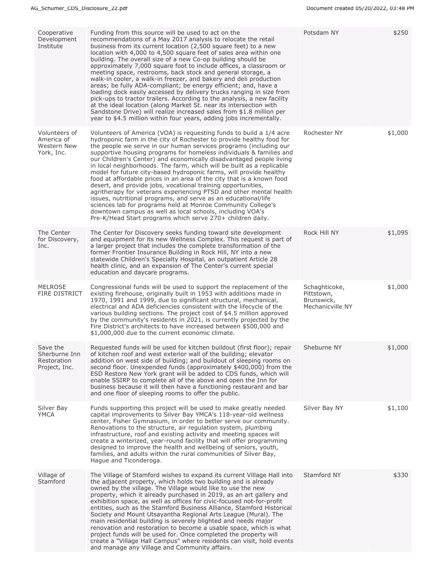| Cooperative<br>Development<br>Institute                   | Funding from this source will be used to act on the<br>recommendations of a May 2017 analysis to relocate the retail<br>business from its current location (2,500 square feet) to a new<br>location with 4,000 to 4,500 square feet of sales area within one<br>building. The overall size of a new Co-op building should be<br>approximately 7,000 square foot to include offices, a classroom or<br>meeting space, restrooms, back stock and general storage, a<br>walk-in cooler, a walk-in freezer, and bakery and deli production<br>areas; be fully ADA-compliant; be energy efficient; and, have a<br>loading dock easily accessed by delivery trucks ranging in size from<br>pick-ups to tractor trailers. According to the analysis, a new facility<br>at the ideal location (along Market St. near its intersection with<br>Sandstone Drive) will realize increased sales from \$1.8 million per<br>year to \$4.5 million within four years, adding jobs incrementally.         | Potsdam NY                                                    | \$250   |
|-----------------------------------------------------------|-------------------------------------------------------------------------------------------------------------------------------------------------------------------------------------------------------------------------------------------------------------------------------------------------------------------------------------------------------------------------------------------------------------------------------------------------------------------------------------------------------------------------------------------------------------------------------------------------------------------------------------------------------------------------------------------------------------------------------------------------------------------------------------------------------------------------------------------------------------------------------------------------------------------------------------------------------------------------------------------|---------------------------------------------------------------|---------|
| Volunteers of<br>America of<br>Western New<br>York, Inc.  | Volunteers of America (VOA) is requesting funds to build a 1/4 acre<br>hydroponic farm in the city of Rochester to provide healthy food for<br>the people we serve in our human services programs (including our<br>supportive housing programs for homeless individuals & families and<br>our Children's Center) and economically disadvantaged people living<br>in local neighborhoods. The farm, which will be built as a replicable<br>model for future city-based hydroponic farms, will provide healthy<br>food at affordable prices in an area of the city that is a known food<br>desert, and provide jobs, vocational training opportunities,<br>agritherapy for veterans experiencing PTSD and other mental health<br>issues, nutritional programs, and serve as an educational/life<br>sciences lab for programs held at Monroe Community College's<br>downtown campus as well as local schools, including VOA's<br>Pre-K/Head Start programs which serve 270+ children daily. | Rochester NY                                                  | \$1,000 |
| The Center<br>for Discovery,<br>Inc.                      | The Center for Discovery seeks funding toward site development<br>and equipment for its new Wellness Complex. This request is part of<br>a larger project that includes the complete transformation of the<br>former Frontier Insurance Building in Rock Hill, NY into a new<br>statewide Children's Specialty Hospital, an outpatient Article 28<br>health clinic, and an expansion of The Center's current special<br>education and daycare programs.                                                                                                                                                                                                                                                                                                                                                                                                                                                                                                                                   | Rock Hill NY                                                  | \$1,095 |
| <b>MELROSE</b><br><b>FIRE DISTRICT</b>                    | Congressional funds will be used to support the replacement of the<br>existing firehouse, originally built in 1953 with additions made in<br>1970, 1991 and 1999, due to significant structural, mechanical,<br>electrical and ADA deficiencies consistent with the lifecycle of the<br>various building sections. The project cost of \$4.5 million approved<br>by the community's residents in 2021, is currently projected by the<br>Fire District's architects to have increased between \$500,000 and<br>\$1,000,000 due to the current economic climate.                                                                                                                                                                                                                                                                                                                                                                                                                            | Schaghticoke,<br>Pittstown,<br>Brunswick,<br>Mechanicville NY | \$1,000 |
| Save the<br>Sherburne Inn<br>Restoration<br>Project, Inc. | Requested funds will be used for kitchen buildout (first floor); repair<br>of kitchen roof and west exterior wall of the building; elevator<br>addition on west side of building; and buildout of sleeping rooms on<br>second floor. Unexpended funds (approximately \$400,000) from the<br>ESD Restore New York grant will be added to CDS funds, which will<br>enable SSIRP to complete all of the above and open the Inn for<br>business because it will then have a functioning restaurant and bar<br>and one floor of sleeping rooms to offer the public.                                                                                                                                                                                                                                                                                                                                                                                                                            | Sheburne NY                                                   | \$1,000 |
| Silver Bay<br>YMCA                                        | Funds supporting this project will be used to make greatly needed<br>capital improvements to Silver Bay YMCA's 118-year-old wellness<br>center, Fisher Gymnasium, in order to better serve our community.<br>Renovations to the structure, air regulation system, plumbing<br>infrastructure, roof and existing activity and meeting spaces will<br>create a winterized, year-round facility that will offer programming<br>designed to improve the health and wellbeing of seniors, youth,<br>families, and adults within the rural communities of Silver Bay,<br>Hague and Ticonderoga.                                                                                                                                                                                                                                                                                                                                                                                                 | Silver Bay NY                                                 | \$1,100 |
| Village of<br>Stamford                                    | The Village of Stamford wishes to expand its current Village Hall into<br>the adjacent property, which holds two building and is already<br>owned by the village. The Village would like to use the new<br>property, which it already purchased in 2019, as an art gallery and<br>exhibition space, as well as offices for civic-focused not-for-profit<br>entities, such as the Stamford Business Alliance, Stamford Historical<br>Society and Mount Utsayantha Regional Arts League (Mural). The<br>main residential building is severely blighted and needs major<br>renovation and restoration to become a usable space, which is what<br>project funds will be used for. Once completed the property will<br>create a "Village Hall Campus" where residents can visit, hold events<br>and manage any Village and Community affairs.                                                                                                                                                  | Stamford NY                                                   | \$330   |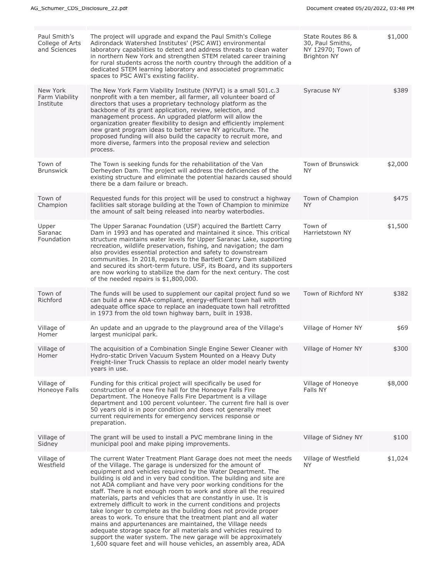| Paul Smith's<br>College of Arts<br>and Sciences | The project will upgrade and expand the Paul Smith's College<br>Adirondack Watershed Institutes' (PSC AWI) environmental<br>laboratory capabilities to detect and address threats to clean water<br>in northern New York and strengthen STEM related career training<br>for rural students across the north country through the addition of a<br>dedicated STEM learning laboratory and associated programmatic<br>spaces to PSC AWI's existing facility.                                                                                                                                                                                                                                                                                                                                                                                                                                                                                                              | State Routes 86 &<br>30, Paul Smiths,<br>NY 12970; Town of<br><b>Brighton NY</b> | \$1,000 |
|-------------------------------------------------|------------------------------------------------------------------------------------------------------------------------------------------------------------------------------------------------------------------------------------------------------------------------------------------------------------------------------------------------------------------------------------------------------------------------------------------------------------------------------------------------------------------------------------------------------------------------------------------------------------------------------------------------------------------------------------------------------------------------------------------------------------------------------------------------------------------------------------------------------------------------------------------------------------------------------------------------------------------------|----------------------------------------------------------------------------------|---------|
| New York<br>Farm Viability<br>Institute         | The New York Farm Viability Institute (NYFVI) is a small 501.c.3<br>nonprofit with a ten member, all farmer, all volunteer board of<br>directors that uses a proprietary technology platform as the<br>backbone of its grant application, review, selection, and<br>management process. An upgraded platform will allow the<br>organization greater flexibility to design and efficiently implement<br>new grant program ideas to better serve NY agriculture. The<br>proposed funding will also build the capacity to recruit more, and<br>more diverse, farmers into the proposal review and selection<br>process.                                                                                                                                                                                                                                                                                                                                                   | Syracuse NY                                                                      | \$389   |
| Town of<br><b>Brunswick</b>                     | The Town is seeking funds for the rehabilitation of the Van<br>Derheyden Dam. The project will address the deficiencies of the<br>existing structure and eliminate the potential hazards caused should<br>there be a dam failure or breach.                                                                                                                                                                                                                                                                                                                                                                                                                                                                                                                                                                                                                                                                                                                            | Town of Brunswick<br><b>NY</b>                                                   | \$2,000 |
| Town of<br>Champion                             | Requested funds for this project will be used to construct a highway<br>facilities salt storage building at the Town of Champion to minimize<br>the amount of salt being released into nearby waterbodies.                                                                                                                                                                                                                                                                                                                                                                                                                                                                                                                                                                                                                                                                                                                                                             | Town of Champion<br>NY.                                                          | \$475   |
| Upper<br>Saranac<br>Foundation                  | The Upper Saranac Foundation (USF) acquired the Bartlett Carry<br>Dam in 1993 and has operated and maintained it since. This critical<br>structure maintains water levels for Upper Saranac Lake, supporting<br>recreation, wildlife preservation, fishing, and navigation; the dam<br>also provides essential protection and safety to downstream<br>communities. In 2018, repairs to the Bartlett Carry Dam stabilized<br>and secured its short-term future. USF, its Board, and its supporters<br>are now working to stabilize the dam for the next century. The cost<br>of the needed repairs is \$1,800,000.                                                                                                                                                                                                                                                                                                                                                      | Town of<br>Harrietstown NY                                                       | \$1,500 |
| Town of<br>Richford                             | The funds will be used to supplement our capital project fund so we<br>can build a new ADA-compliant, energy-efficient town hall with<br>adequate office space to replace an inadequate town hall retrofitted<br>in 1973 from the old town highway barn, built in 1938.                                                                                                                                                                                                                                                                                                                                                                                                                                                                                                                                                                                                                                                                                                | Town of Richford NY                                                              | \$382   |
| Village of<br>Homer                             | An update and an upgrade to the playground area of the Village's<br>largest municipal park.                                                                                                                                                                                                                                                                                                                                                                                                                                                                                                                                                                                                                                                                                                                                                                                                                                                                            | Village of Homer NY                                                              | \$69    |
| Village of<br>Homer                             | The acquisition of a Combination Single Engine Sewer Cleaner with<br>Hydro-static Driven Vacuum System Mounted on a Heavy Duty<br>Freight-liner Truck Chassis to replace an older model nearly twenty<br>years in use.                                                                                                                                                                                                                                                                                                                                                                                                                                                                                                                                                                                                                                                                                                                                                 | Village of Homer NY                                                              | \$300   |
| Village of<br>Honeoye Falls                     | Funding for this critical project will specifically be used for<br>construction of a new fire hall for the Honeoye Falls Fire<br>Department. The Honeoye Falls Fire Department is a village<br>department and 100 percent volunteer. The current fire hall is over<br>50 years old is in poor condition and does not generally meet<br>current requirements for emergency services response or<br>preparation.                                                                                                                                                                                                                                                                                                                                                                                                                                                                                                                                                         | Village of Honeoye<br>Falls NY                                                   | \$8,000 |
| Village of<br>Sidney                            | The grant will be used to install a PVC membrane lining in the<br>municipal pool and make piping improvements.                                                                                                                                                                                                                                                                                                                                                                                                                                                                                                                                                                                                                                                                                                                                                                                                                                                         | Village of Sidney NY                                                             | \$100   |
| Village of<br>Westfield                         | The current Water Treatment Plant Garage does not meet the needs<br>of the Village. The garage is undersized for the amount of<br>equipment and vehicles required by the Water Department. The<br>building is old and in very bad condition. The building and site are<br>not ADA compliant and have very poor working conditions for the<br>staff. There is not enough room to work and store all the required<br>materials, parts and vehicles that are constantly in use. It is<br>extremely difficult to work in the current conditions and projects<br>take longer to complete as the building does not provide proper<br>areas to work. To ensure that the treatment plant and all water<br>mains and appurtenances are maintained, the Village needs<br>adequate storage space for all materials and vehicles required to<br>support the water system. The new garage will be approximately<br>1,600 square feet and will house vehicles, an assembly area, ADA | Village of Westfield<br><b>NY</b>                                                | \$1,024 |